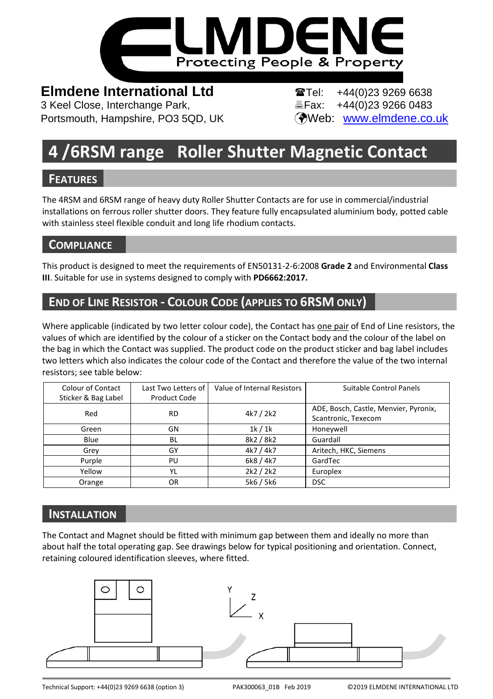

**Elmdene International Ltd Tel:** +44(0)23 9269 6638 3 Keel Close, Interchange Park, Fax: +44(0)23 9266 0483

Portsmouth, Hampshire, PO3 5QD, UK (Web: [www.elmdene.co.uk](http://www.elmdene.co.uk/)

# **4 /6RSM range Roller Shutter Magnetic Contact**

## **FEATURES**

The 4RSM and 6RSM range of heavy duty Roller Shutter Contacts are for use in commercial/industrial installations on ferrous roller shutter doors. They feature fully encapsulated aluminium body, potted cable with stainless steel flexible conduit and long life rhodium contacts.

## **COMPLIANCE**

This product is designed to meet the requirements of EN50131-2-6:2008 **Grade 2** and Environmental **Class III**. Suitable for use in systems designed to comply with **PD6662:2017.**

## **END OF LINE RESISTOR - COLOUR CODE (APPLIES TO 6RSM ONLY)**

Where applicable (indicated by two letter colour code), the Contact has one pair of End of Line resistors, the values of which are identified by the colour of a sticker on the Contact body and the colour of the label on the bag in which the Contact was supplied. The product code on the product sticker and bag label includes two letters which also indicates the colour code of the Contact and therefore the value of the two internal resistors; see table below:

| <b>Colour of Contact</b> | Last Two Letters of | Value of Internal Resistors | Suitable Control Panels               |
|--------------------------|---------------------|-----------------------------|---------------------------------------|
| Sticker & Bag Label      | Product Code        |                             |                                       |
| Red                      | <b>RD</b>           | 4k7 / 2k2                   | ADE, Bosch, Castle, Menvier, Pyronix, |
|                          |                     |                             | Scantronic, Texecom                   |
| Green                    | GN                  | 1k/1k                       | Honeywell                             |
| Blue                     | BL                  | 8k2 / 8k2                   | Guardall                              |
| Grey                     | GY                  | 4k7 / 4k7                   | Aritech, HKC, Siemens                 |
| Purple                   | PU                  | 6k8 / 4k7                   | GardTec                               |
| Yellow                   | YL                  | 2k2 / 2k2                   | Europlex                              |
| Orange                   | OR                  | 5k6 / 5k6                   | <b>DSC</b>                            |

## **INSTALLATION**

The Contact and Magnet should be fitted with minimum gap between them and ideally no more than about half the total operating gap. See drawings below for typical positioning and orientation. Connect, retaining coloured identification sleeves, where fitted.



Technical Support: +44(0)23 9269 6638 (option 3) PAK300063\_01B Feb 2019 ©2019 ELMDENE INTERNATIONAL LTD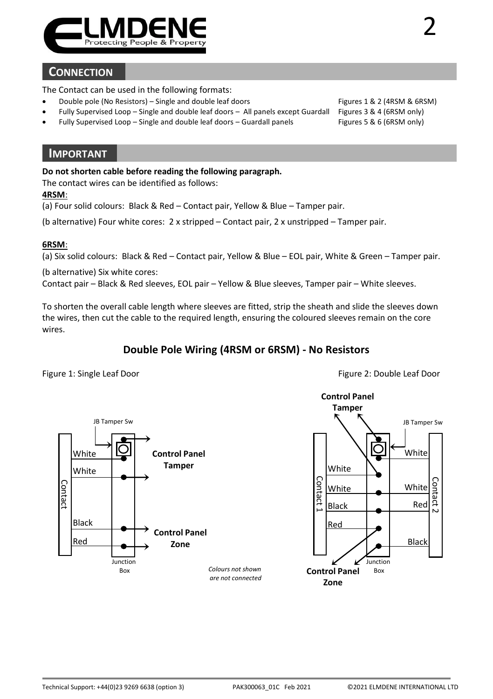

## **CONNECTION**

The Contact can be used in the following formats:

- Double pole (No Resistors) Single and double leaf doors Figures 1 & 2 (4RSM & 6RSM)
- Fully Supervised Loop Single and double leaf doors All panels except Guardall Figures 3 & 4 (6RSM only)
- Fully Supervised Loop Single and double leaf doors Guardall panels

#### **IMPORTANT**

**Do not shorten cable before reading the following paragraph.**

The contact wires can be identified as follows:

#### **4RSM**:

(a) Four solid colours: Black & Red – Contact pair, Yellow & Blue – Tamper pair.

(b alternative) Four white cores: 2 x stripped – Contact pair, 2 x unstripped – Tamper pair.

#### **6RSM**:

(a) Six solid colours: Black & Red – Contact pair, Yellow & Blue – EOL pair, White & Green – Tamper pair.

(b alternative) Six white cores:

Contact pair – Black & Red sleeves, EOL pair – Yellow & Blue sleeves, Tamper pair – White sleeves.

To shorten the overall cable length where sleeves are fitted, strip the sheath and slide the sleeves down the wires, then cut the cable to the required length, ensuring the coloured sleeves remain on the core wires.

### **Double Pole Wiring (4RSM or 6RSM) - No Resistors**

Figure 1: Single Leaf Door **Figure 2: Double Leaf Door** Figure 2: Double Leaf Door



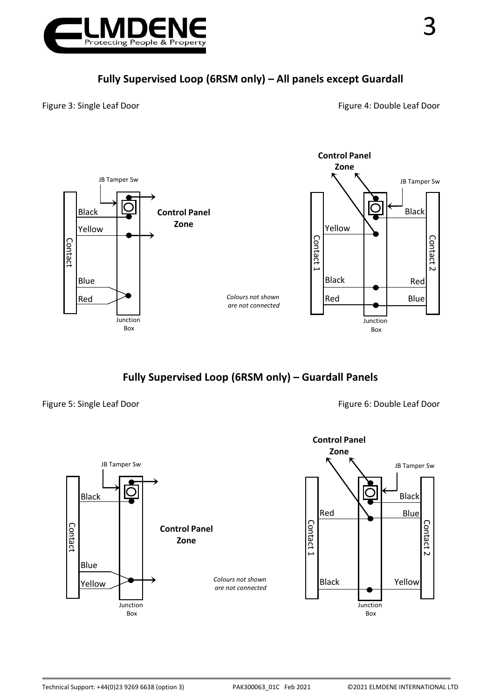

Figure 3: Single Leaf Door **Figure 4: Double Leaf Door** Figure 4: Double Leaf Door



**Fully Supervised Loop (6RSM only) – Guardall Panels**

Figure 5: Single Leaf Door **Figure 6: Double Leaf Door** Figure 6: Double Leaf Door